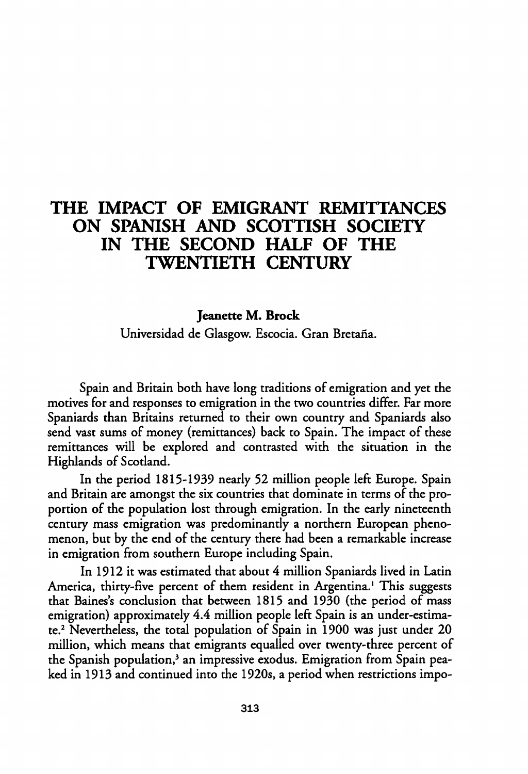## THE IMPACT OF EMIGRANT REMITTANCES ON SPANISH AND SCOTTISH SOCIETY IN THE SECOND HALF OF THE TWENTIETH CENTURY

## Jeanette M. Brock

Universidad de Glasgow. Escocia. Gran Bretaña.

Spain and Britain both have long traditions of emigration and yet the motives for and responses to emigration in the two countries differ. Far more Spaniards than Britains returned to their own country and Spaniards also send vast sums of money (remittances) back to Spain. The impact of these remittances will be explored and contrasted with the situation in the Highlands of Scotland.

In the period 1815-1939 nearly 52 million people left Europe. Spain and Britain are amongst the six countries that dominate in terms of the proportion of the population lost through emigration. In the early nineteenth century mass emigration was predominantly a northern European phenomenon, but by the end of the century there had been a remarkable increase in emigration from southern Europe including Spain.

In 1912 it was estimated that about 4 million Spaniards lived in Latin America, thirty-five percent of them resident in Argentina.<sup>1</sup> This suggests that Baines's conclusion that between 1815 and 1930 (the period of mass emigration) approximately 4.4 million people left Spain is an under-estimate.2 Nevertheless, the total population of Spain in 1900 was just under 20 million, which means that emigrants equalled over twenty-three percent of the Spanish population,<sup>3</sup> an impressive exodus. Emigration from Spain peaked in 1913 and continued into the 1920s, a period when restrictions impo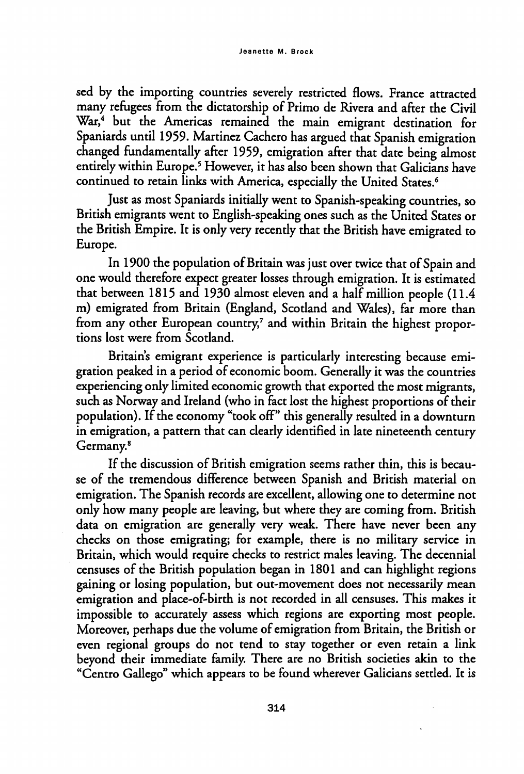sed by the importing countries severely restricted flows. France attracted many refugees from the dictatorship of Primo de Rivera and after the Civil War,<sup>4</sup> but the Americas remained the main emigrant destination for Spaniards until 1959. Martínez Cachero has argued that Spanish emigration changed fundamentally after 1959, emigration after that date being almost entirely within Europe.5 However, it has also been shown that Galicians have continued to retain links with America, especially the United States.<sup>6</sup>

Just as most Spaniards initially went to Spanish-speaking countries, so British emigrants went to English-speaking ones such as the United States or the British Empire. It is only very recently that the British have emigrated to Europe.

In 1900 the population of Britain was just over twice that of Spain and one would therefore expect greater losses through emigration. It is estimated that between 1815 and 1930 almost eleven and a half million people (11.4 m) emigrated from Britain (England, Scodand and Wales), far more than from any other European country,<sup>7</sup> and within Britain the highest proportions lost were from Scotland.

Britain's emigrant experience is particularly interesting because emigration peaked in a period of economic boom. Generally it was the countries experiencing only limited economic growth that exported the most migrants, such as Norway and Ireland (who in fact lost the highest proportions of their population). If the economy "took off" this generally resulted in a downturn in emigration, a pattern that can dearly identified in late nineteenth century Germany.8

If the discussion of British emigration seems rather thin, this is becau se of the tremendous difference between Spanish and British material on emigration. The Spanish records are excellent, allowing one to determine not only how many people are leaving, but where they are coming from. British data on emigration are generally very weak. There have never been any checks on those emigrating; for example, there is no military service in Britain, which would require checks to restrict males leaving. The decennial censuses of the British population began in 1801 and can highlight regions gaining or losing population, but out-movement does not necessarily mean emigration and place-of-birth is not recorded in all censuses. This makes it impossible to accurately assess which regions are exporting most people. Moreover, perhaps due the volume of emigration from Britain, the British or even regional groups do not tend to stay together or even retain a link beyond their immediate family. There are no British societies akin to the "Centro Gallego" which appears to be found wherever Galicians settled. It is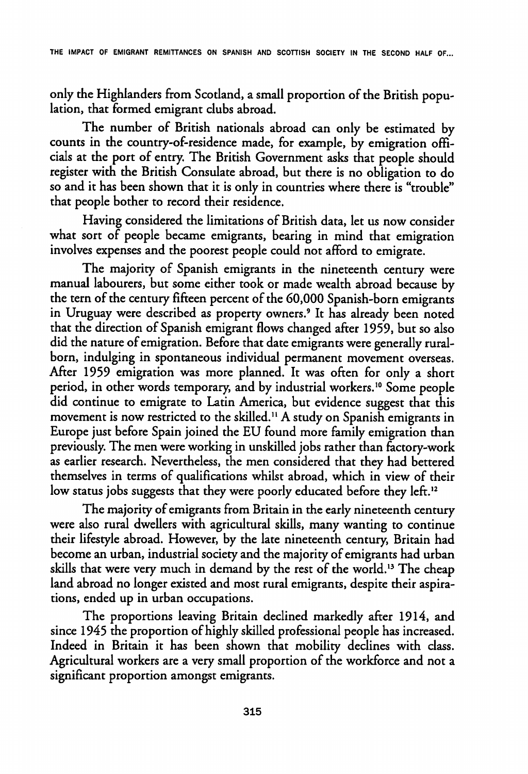only the Highlanders from Scotland, a small proportion of the British population, that formed emigrant clubs abroad.

The number of British nationals abroad can only be estimated by counts in the country-of-residence made, for example, by emigration officials at the port of entry. The British Government asks that people should register with the British Consulate abroad, but there is no obligation to do so and it has been shown that it is only in countries where there is "trouble" that people bother to record their residence.

Having considered the limitations of British data, let us now consider what sort of people became emigrants, bearing in mind that emigration involves expenses and the poorest people could not afford to emigrate.

The majority of Spanish emigrants in the nineteenth century were manual labourers, but some either took or made wealth abroad because by the tern of the century fifteen percent of the 60,000 Spanish-born emigrants in Uruguay were described as property owners.<sup>9</sup> It has already been noted that the direction of Spanish emigrant flows changed after 1959, but so also did the nature of emigration. Before that date emigrants were generally ruralborn, indulging in spontaneous individual permanent movement overseas. After 1959 emigration was more planned. It was often for only a short period, in other words temporary, and by industrial workers.<sup>10</sup> Some people did continue to emigrate to Latin America, but evidence suggest that this movement is now restricted to the skilled.<sup>11</sup> A study on Spanish emigrants in Europe just before Spain joined the EU found more family emigration than previously. The men were working in unskilled jobs rather than factory-work as earlier research. Nevertheless, the men considered that they had bettered themselves in terms of qualifications whilst abroad, which in view of their low status jobs suggests that they were poorly educated before they left.<sup>12</sup>

The majority of emigrants from Britain in the early nineteenth century were also rural dwellers with agricultural skills, many wanting to continué their lifestyle abroad. However, by the late nineteenth century, Britain had become an urban, industrial society and the majority of emigrants had urban skills that were very much in demand by the rest of the world.<sup>13</sup> The cheap land abroad no longer existed and most rural emigrants, despite their aspirations, ended up in urban occupations.

The proportions leaving Britain declined markedly after 1914, and since 1945 the proportion of highly skilled professional people has increased. Indeed in Britain it has been shown that mobility declines with dass. Agricultural workers are a very small proportion of the workforce and not a signiflcant proportion amongst emigrants.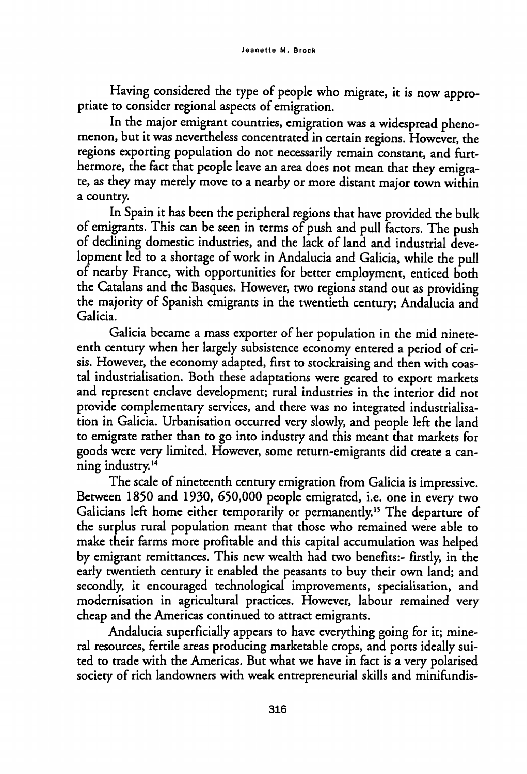Having considered the type of people who migrate, it is now appropriate to consider regional aspects of emigration.

In the major emigrant countries, emigration was a widespread phenomenon, but it was nevertheless concentrated in certain regions. However, the regions exporting population do not necessarily remain constant, and furthermore, the fact that people leave an area does not mean that they emigrate, as they may merely move to a nearby or more distant major town within a country.

In Spain it has been the peripheral regions that have provided the bulk of emigrants. This can be seen in terms of push and pulí factors. The push of declining domestic industries, and the lack of land and industrial development led to a shortage of work in Andalucía and Galicia, while the pulí of nearby France, with opportunities for better employment, enticed both the Catalans and the Basques. However, two regions stand out as providing the majority of Spanish emigrants in the twentieth century; Andalucía and Galicia.

Galicia became a mass exporter of her population in the mid nineteenth century when her largely subsistence economy entered a period of cri sis. However, the economy adapted, first to stockraising and then with coastal industrialisation. Both these adaptations were geared to export markets and represent enclave development; rural industries in the interior did not provide complementary services, and there was no integrated industrialisa tion in Galicia. Urbanisation occurred very slowly, and people left the land to emigrate rather than to go into industry and this meant that markets for goods were very limited. However, some return-emigrants did créate a canning industry.<sup>14</sup>

The scale of nineteenth century emigration from Galicia is impressive. Between 1850 and 1930, 650,000 people emigrated, i.e. one in every two Galicians left home either temporarily or permanently.15 The departure of the surplus rural population meant that those who remained were able to make their farms more profitable and this capital accumulation was helped by emigrant remittances. This new wealth had two beneflts:- firstly, in the early twentieth century it enabled the peasants to buy their own land; and secondly, it encouraged technological improvements, specialisation, and modernisation in agricultural practices. However, labour remained very cheap and the Americas continued to attract emigrants.

Andalucía superficially appears to have everything going for it; mine ral resources, fertile areas producing marketable crops, and ports ideally suited to trade with the Americas. But what we have in fact is a very polarised society of rich landowners with weak entrepreneurial skills and minifundis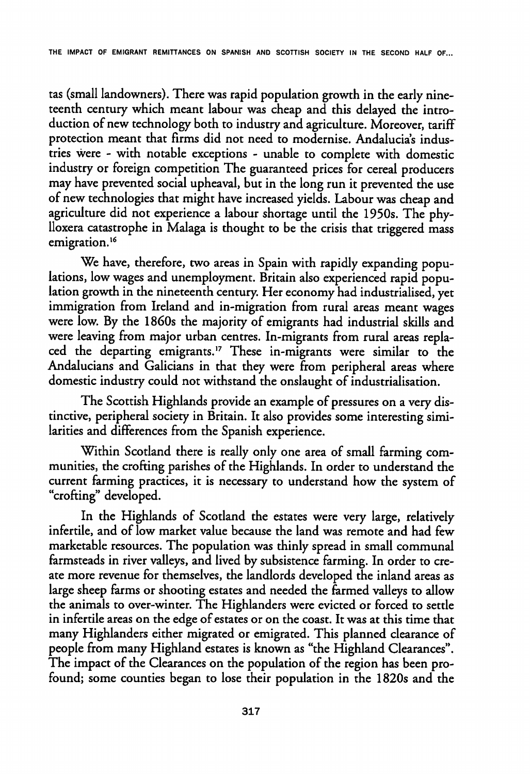tas (small landowners). There was rapid population growth in the early nineteenth century which meant labour was cheap and this delayed the introduction of new technology both to industry and agriculture. Moreover, tariff protection meant that firms did not need to modernise. Andalucia's industries were - with notable exceptions - unable to complete with domestic industry or foreign competition The guaranteed prices for cereal producers may have prevented social upheaval, but in the long run it prevented the use of new technologies that might have increased yields. Labour was cheap and agriculture did not experience a labour shortage until the 195Os. The phylloxera catastrophe in Malaga is thought to be the crisis that triggered mass emigration.<sup>16</sup>

We have, therefore, two areas in Spain with rapidly expanding populations, low wages and unemployment. Britain also experienced rapid popu lation growth in the nineteenth century. Her economy had industrialised, yet immigration from Ireland and in-migration from rural areas meant wages were low. By the 1860s the majority of emigrants had industrial skills and were leaving from major urban centres. In-migrants from rural areas replaced the departing emigrants.<sup>17</sup> These in-migrants were similar to the Andalucians and Galicians in that they were from peripheral areas where domestic industry could not withstand the onslaught of industrialisation.

The Scottish Highlands provide an example of pressures on a very distinctive, peripheral society in Britain. It also provides some interesting similarities and dififerences from the Spanish experience.

Within Scotland there is really only one area of small farming communities, the crofting parishes of the Highlands. In order to understand the current farming practices, it is necessary to understand how the system of "crofting" developed.

In the Highlands of Scotland the estates were very large, relatively infertile, and of low market valué because the land was remote and had few marketable resources. The population was thinly spread in small communal farmsteads in river valleys, and lived by subsistence farming. In order to create more revenue for themselves, the landlords developed the inland áreas as large sheep farms or shooting estates and needed the farmed valleys to allow the animals to over-winter. The Highlanders were evicted or forced to settle in infertile areas on the edge of estates or on the coast. It was at this time that many Highlanders either migrated or emigrated. This planned clearance of people from many Highland estates is known as "the Highland Clearances". The impact of the Clearances on the population of the región has been profound; some counties began to lose their population in the 1820s and the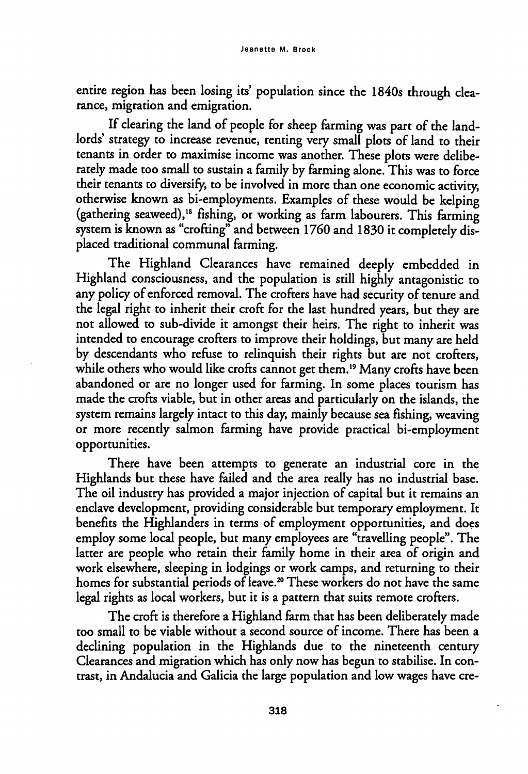entire region has been losing its' population since the 1840s through clearance, migration and emigration.

If clearing the land of people for sheep farming was part of the landlords' strategy to increase revenue, renting very smali plots of land to their tenants in order to maximise income was another. These plots were deliberately made too small to sustain a family by farming alone. This was to forcé their tenants to diversify, to be involved in more than one economic activity, otherwise known as bi-employments. Examples of these would be kelping (gathering seaweed),<sup>18</sup> fishing, or working as farm labourers. This farming system is known as "crofting" and between 1760 and 1830 it completely dis placed traditional communal farming.

The Highland Clearances have remained deeply embedded in Highland consciousness, and the population is still highly antagonistic to any policy of enforced removal. The crofters have had security of tenure and the legal right to inherit their croft for the last hundred years, but they are not allowed to sub-divide it amongst their heirs. The right to inherit was intended to encourage crofters to improve their holdings, but many are held by descendants who refuse to relinquish their rights but are not crofters, while others who would like crofts cannot get them.<sup>19</sup> Many crofts have been abandoned or are no longer used for farming. In some places tourism has made the crofts viable, but in other areas and particularly on the islands, the system remains largely intact to this day, mainly because sea fishing, weaving or more recently salmón farming have provide practical bi-employment opportunities.

There have been attempts to generate an industrial core in the Highlands but these have failed and the area really has no industrial base. The oil industry has provided a major injection of capital but it remains an enclave development, providing considerable but temporary employment. It benefíts the Highlanders in terms of employment opportunities, and does employ some local people, but many employees are "travelling people". The latter are people who retain their family home in their area of origin and work elsewhere, sleeping in lodgings or work camps, and returning to their homes for substantial periods of leave.<sup>20</sup> These workers do not have the same legal rights as local workers, but it is a pattern that suits remote crofters.

The croft is therefore a Highland farm that has been deliberately made too small to be viable without a second source of income. There has been a dedining population in the Highlands due to the nineteenth century Clearances and migration which has only now has begun to stabilise. In contrast, in Andalucía and Galicia the large population and low wages have cre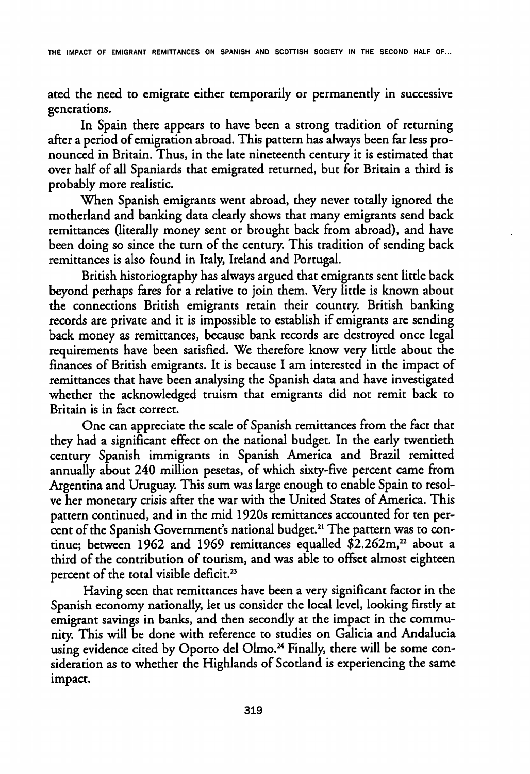THE IMPACT OF EMIGRANT REMITTANCES ON SPANISH AND SCOTTISH SOCIETY IN THE SECOND HALF OF...

ated the need to emigrate either temporarily or permanently in successive generations.

In Spain there appears to havc been a strong tradition of returning after a period of emigration abroad. This pattern has always becn far lcss pronounced in Britain. Thus, in the late nineteenth century it is estimated that over half of all Spaniards that emigrated returned, but for Britain a third is probably more realistic.

When Spanish emigrants went abroad, they never totally ignored the motherland and banking data dearly shows that many emigrants send back remittances (literally money sent or brought back from abroad), and have been doing so since the turn of the century. This tradition of sending back remittances is also found in Italy, Ireland and Portugal.

British historiography has always argued that emigrants sent little back beyond perhaps fares for a relative to join them. Very little is known about the connections British emigrants retain their country. British banking records are private and it is impossible to establish if emigrants are sending back money as remittances, because bank records are destroyed once legal requirements have been satisfíed. We therefore know very little about the finances of British emigrants. It is because I am interested in the impact of remittances that have been analysing the Spanish data and have investigated whether the acknowledged truism that emigrants did not remit back to Britain is in fact correct.

One can appreciate the scale of Spanish remittances from the fact that they had a significant effect on the national budget. In the early twentieth century Spanish immigrants in Spanish America and Brazil remitted annually about 240 million pesetas, of which sixty-five percent came from Argentina and Uruguay. This sum was large enough to enable Spain to resolve her monetary crisis after the war with the United States of América. This pattern continued, and in the mid 1920s remittances accounted for ten percent of the Spanish Government's national budget.<sup>21</sup> The pattern was to continue; between 1962 and 1969 remittances equalled  $$2.262m,^{22}$  about a third of the contribution of tourism, and was able to offset almost eighteen percent of the total visible déficit.23

Having seen that remittances have been a very significant factor in the Spanish economy nationally, let us consider the local level, looking firstly at emigrant savings in banks, and then secondly at the impact in the community. This will be done with reference to studies on Galicia and Andalucía using evidence cited by Oporto del Olmo.<sup>24</sup> Finally, there will be some consideration as to whether the Highlands of Scotland is experiencing the same impact.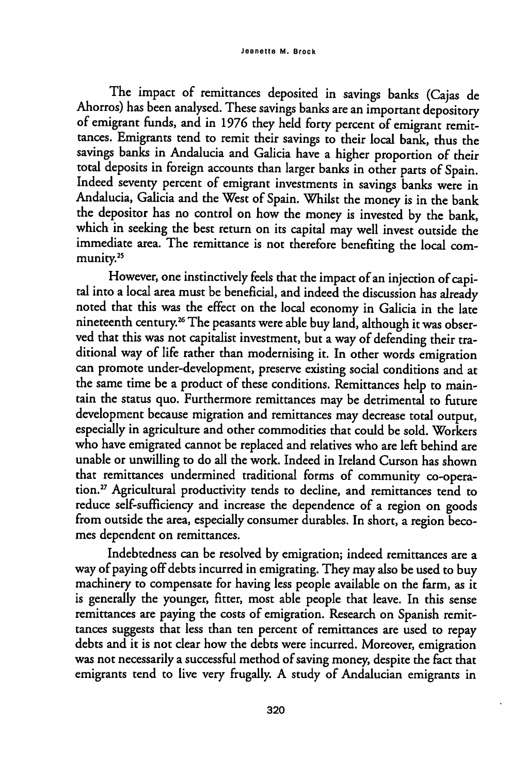The impact of remittances deposited in savings banks (Cajas de Ahorros) has been analysed. These savings banks are an important depository of emigrant funds, and in 1976 they held forty percent of emigrant remit tances. Emigrants tend to remit their savings to their local bank, thus the savings banks in Andalucía and Galicia have a higher proportion of their total deposits in foreign accounts than larger banks in other parts of Spain. Indeed seventy percent of emigrant investments in savings banks were in Andalucía, Galicia and the West of Spain. Whilst the money is in the bank the depositor has no control on how the money is invested by the bank, which in seeking the best return on its capital may well invest outside the immediate area. The remittance is not therefore benefiting the local community.<sup>25</sup>

However, one instinctively feels that the impact of an injection of capi tal into a local área must be beneficial, and indeed the discussion has already noted that this was the effect on the local economy in Galicia in the late nineteenth century.<sup>26</sup> The peasants were able buy land, although it was observed that this was not capitalist investment, but a way of defending their traditional way of life rather than modernising it. In other words emigration can promote under-development, preserve existing social conditions and at the same time be a product of these conditions. Remittances help to maintain the status quo. Furthermore remittances may be detrimental to future development because migration and remittances may decrease total output, especially in agriculture and other commodities that could be sold. Workers who have emigrated cannot be replaced and relatives who are left behind are unable or unwilling to do all the work. Indeed in Ireland Curson has shown that remittances undermined traditional forms of community co-operation.27 Agricultural productivity tends to decline, and remittances tend to reduce self-sufficiency and increase the dependence of a region on goods from outside the area, especially consumer durables. In short, a region becomes dependent on remittances.

Indebtedness can be resolved by emigration; indeed remittances are a way of paying off debts incurred in emigrating. They may also be used to buy machinery to compensate for having less people available on the farm, as it is generally the younger, fitter, most able people that leave. In this sense remittances are paying the costs of emigration. Research on Spanish remit tances suggests that less than ten percent of remittances are used to repay debts and it is not dear how the debts were incurred. Moreover, emigration was not necessarily a successful method of saving money, despite the fact that emigrants tend to live very frugally. A study of Andalucian emigrants in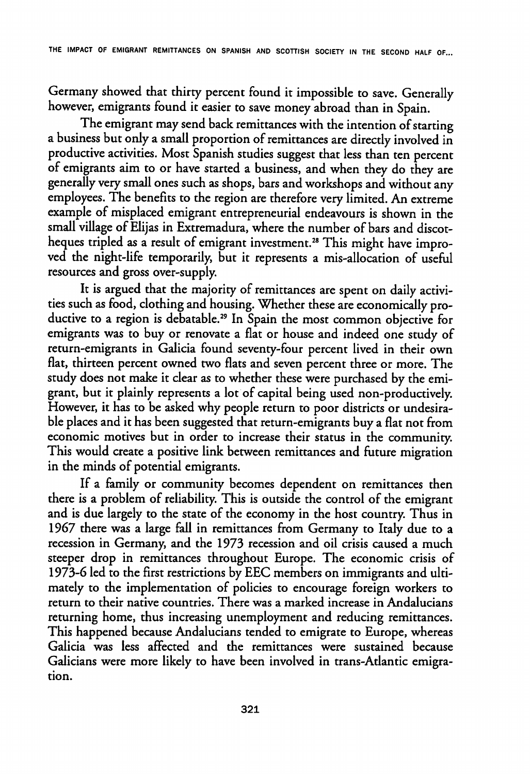Germany showed that thirty percent found it impossible to save. Generally however, emigrants found it easier to save money abroad than in Spain.

The emigrant may send back remittances with the intention of starting a business but only a small proportion of remittances are directly involved in productive activities. Most Spanish studies suggest that less than ten percent of emigrants aim to or have started a business, and when they do they are generally very small ones such as shops, bars and workshops and without any employees. The benefits to the región are therefore very limited. An extreme example of misplaced emigrant entrepreneurial endeavours is shown in the small village of Elijas in Extremadura, where the number of bars and discotheques tripled as a result of emigrant investment.<sup>28</sup> This might have improved the night-life temporarily, but it represents a mis-allocation of useful resources and gross over-supply.

It is argued that the majority of remittances are spent on daily activi ties such as food, clothing and housing. Whether these are economically pro ductive to a region is debatable.<sup>29</sup> In Spain the most common objective for emigrants was to buy or renovate a flat or house and indeed one study of return-emigrants in Galicia found seventy-four percent lived in their own flat, thirteen percent owned two fíats and seven percent three or more. The study does not make it dear as to whether these were purchased by the emi grant, but it plainly represents a lot of capital being used non-productively. However, it has to be asked why people return to poor districts or undesirable places and it has been suggested that return-emigrants buy a flat not from economic motives but in order to increase their status in the community. This would create a positive link between remittances and future migration in the minds of potential emigrants.

If a family or community becomes dependent on remittances then there is a problem of reliability. This is outside the control of the emigrant and is due largely to the state of the economy in the host country. Thus in 1967 there was a large fall in remittances from Germany to Italy due to a recession in Germany, and the 1973 recession and oil crisis caused a much steeper drop in remittances throughout Europe. The economic crisis of 1973-6 led to the first restrictions by EEC members on immigrants and ultimately to the implementation of policies to encourage foreign workers to return to their native countries. There was a marked increase in Andalucians returning home, thus increasing unemployment and reducing remittances. This happened because Andalucians tended to emigrate to Europe, whereas Galicia was less affected and the remittances were sustained because Galicians were more likely to have been involved in trans-Atlantic emigration.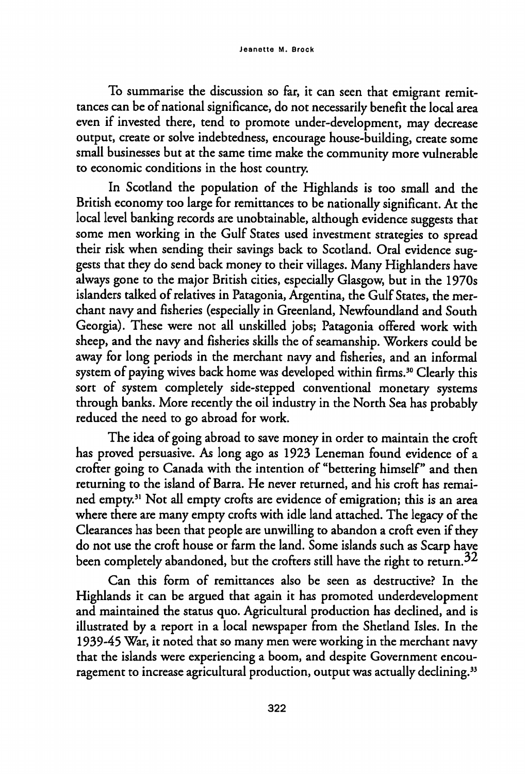To summarise the discussion so far, it can seen that emigrant remittances can be of national significance, do not necessarily benefit the local área even if invested there, tend to promote under-development, may decrease output, create or solve indebtedness, encourage house-building, create some small businesses but at the same time make the community more vulnerable to economic conditions in the host country.

In Scotland the population of the Highlands is too small and the British economy too large for remittances to be nationally significant. At the local level banking records are unobtainable, although evidence suggests that some men working in the Gulf States used investment strategies to spread their risk when sending their savings back to Scotland. Oral evidence sug gests that they do send back money to their villages. Many Highlanders have always gone to the major British cities, especially Glasgow, but in the 1970s islanders talked of relatives in Patagonia, Argentina, the Gulf States, the merchant navy and fisheries (especially in Greenland, Newfoundland and South Georgia). These were not all unskilled jobs; Patagonia offered work with sheep, and the navy and fisheries skills the of seamanship. Workers could be away for long periods in the merchant navy and fisheries, and an informal system of paying wives back home was developed within firms.<sup>30</sup> Clearly this sort of system completely side-stepped conventional monetary systems through banks. More recently the oil industry in the North Sea has probably reduced the need to go abroad for work.

The idea of going abroad to save money in order to maintain the croft has proved persuasive. As long ago as 1923 Leneman found evidence of a crofter going to Canada with the intention of "bettering himself" and then returning to the island of Barra. He never returned, and his croft has remained empty.<sup>31</sup> Not all empty crofts are evidence of emigration; this is an area where there are many empty crofts with idle land attached. The legacy of the Clearances has been that people are unwüling to abandon a croft even if they do not use the croft house or farm the land. Some islands such as Scarp have been completely abandoned, but the crofters still have the right to return.<sup>32</sup>

Can this form of remittances also be seen as destructive? In the Highlands it can be argued that again it has promoted underdevelopment and maintained the status quo. Agricultural production has declined, and is illustrated by a report in a local newspaper from the Shetland Isles. In the 1939-45 War, it noted that so many men were working in the merchant navy that the islands were experiencing a boom, and despite Government encouragement to increase agricultural production, output was actually declining.<sup>33</sup>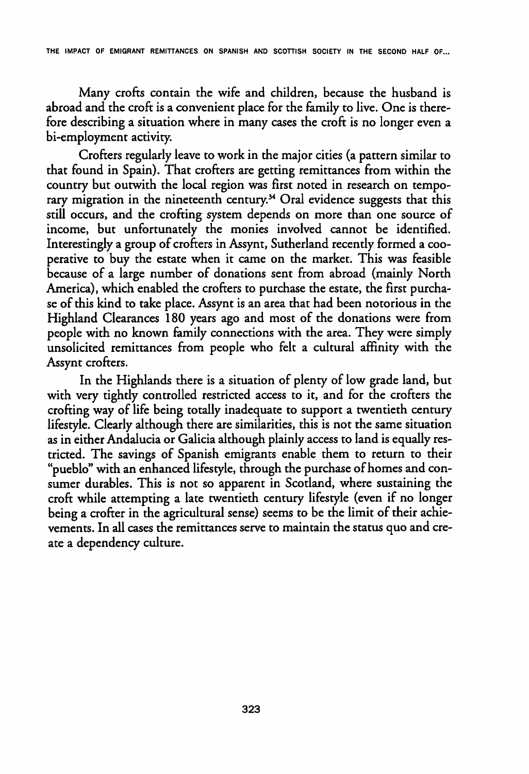THE IMPACT OF EMIGRANT REMITTANCES ON SPANISH AND SCOTTISH SOCIETY IN THE SECOND HALF OF...

Many crofts contain the wife and children, because the husband is abroad and the croft is a convenient place for the family to live. One is therefore describing a situation where in many cases the croft is no longer even a bi-employment activity.

Crofters regularly leave to work in the major cities (a pattern similar to that found in Spain). That crofters are getting remittances from within the country but outwith the local región was first noted in research on temporary migration in the nineteenth century.<sup>34</sup> Oral evidence suggests that this still occurs, and the crofting system depends on more than one source of income, but unfortunately the monies involved cannot be identified. Interestingly a group of crofters in Assynt, Sutherland recently formed a cooperative to buy the estate when it came on the market. This was feasible because of a large number of donations sent from abroad (mainly North America), which enabled the crofters to purchase the estate, the first purchase of this kind to take place. Assynt is an área that had been notorious in the Highland Clearances 180 years ago and most of the donations were from people with no known family connections with the area. They were simply unsolicited remittances from people who felt a cultural affinity with the Assynt crofters.

In the Highlands there is a situation of plenty of low grade land, but with very tightly controlled restricted access to it, and for the crofters the crofting way of life being totally inadequate to support a twentieth century lifestyle. Clearly although there are similarities, this is not the same situation as in either Andalucía or Galicia although plainly access to land is equally res tricted. The savings of Spanish emigrants enable them to return to their "pueblo" with an enhanced lifestyle, through the purchase of homes and consumer durables. This is not so apparent in Scotland, where sustaining the croft while attempting a late twentieth century lifestyle (even if no longer being a crofter in the agricultural sense) seems to be the limit of their achievements. In all cases the remittances serve to maintain the status quo and cré ate a dependency culture.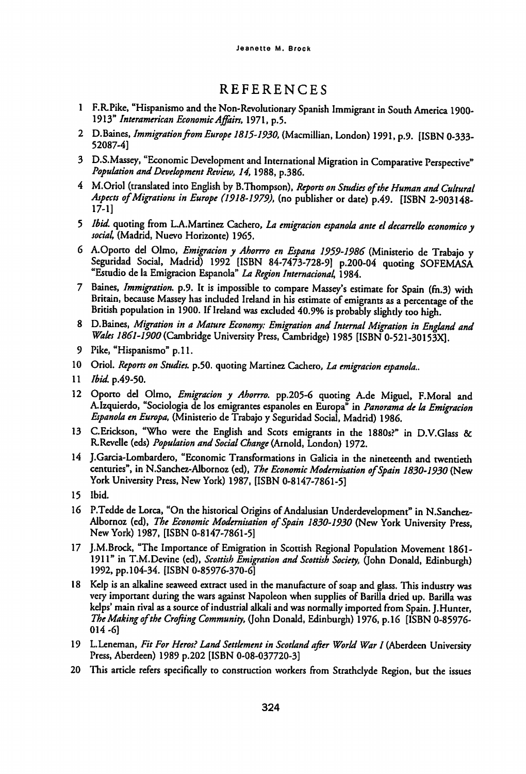## REFERENCES

- 1 F.R.Pike, "Hispanismo and the Non-Revolutionary Spanish Immigrant in South América 1900- 1913" Interamerican Economic Affairs, 1971, p.5.
- 2 D.Baines, Immigration from Europe 1815-1930, (Macmillian, London) 1991, p.9. [ISBN 0-333-52087-4]
- 3 D.S.Massey, "Economic Development and International Migration in Comparative Perspective" Population andDevelopment Review, 14, 1988, p.386.
- 4 M.Oriol (translated into English by B.Thompson), Reports on Studies of the Human and Cultural Aspects of Migrations in Europe (1918-1979), (no publisher or date) p.49. [ISBN 2-903148-17-1]
- 5 Ibid. quoting from L.A.Martinez Cachero, La emigracion espanola ante el decarrello economico y social, (Madrid, Nuevo Horizonte) 1965.
- 6 A.Oporto del Olmo, Emigracion y Ahorrro en Espana 1959-1986 (Ministerio de Trabajo y Seguridad Social, Madrid) 1992 [ISBN 84-7473-728-9] p.200-04 quoting SOFEMASA "Estudio de la Emigracion Espanola" La Region Internacional, 1984.
- 7 Baines, Immigration. p.9. It is impossible to compare Massey's estímate for Spain (fh.3) with Britain, because Massey has induded Ireland in his estímate of emigrants as a percentage of the British population in 1900. If Ireland was excluded 40.9% is probably slightly too high.
- 8 D.Baines, Migration in a Mature Economy: Emigration and Infernal Migration in England and Wales 1861-1900 (Cambridge University Press, Cambridge) 1985 [ISBN 0-521-30153X].
- 9 Pike, "Hispanismo" p. 11.
- 10 Oriol. Reports on Studies. p.50. quoting Martinez Cachero, La emigracion española..
- 11 *Ibid.* p.49-50.
- 12 Oporto del Olmo, Emigracion y Ahorrro. pp.205-6 quoting A.de Miguel, F.Moral and A. Izquierdo, "Sociologia de los emigrantes españoles en Europa<sup>n</sup> in Panorama de la Emigracion Española en Europa, (Ministerio de Trabajo y Seguridad Social, Madrid) 1986.
- 13 C.Erickson, "Who were the English and Scots emigrants in the 1880s?" in D.V.Glass & R.Revelle (eds) Population and Social Change (Arnold, London) 1972.
- 14 J.Garcia-Lombardero, "Economic Transformations in Galicia in the nineteenth and twentieth centuries", in N.Sanchez-Albornoz (ed), The Economic Modernisation of Spain 1830-1930 (New York University Press, New York) 1987, [ISBN 0-8147-7861-5]
- 15 Ibid.
- 16 P.Tedde de Lorca, "On the historical Origins of Andalusian Underdevelopment" in N.Sanchez-Albornoz (ed), The Economic Modernisation of Spain 1830-1930 (New York Uníversity Press, New York) 1987, [ISBN 0-8147-7861-5]
- 17 J.M.Brock, "The Importance of Emigration in Scottish Regional Population Movement 1861- 1911" in T.M.Devine (ed), Scottish Emigration and Scottish Society, (John Donald, Edinburgh) 1992, pp. 104-34. [ISBN 0-85976-370-6]
- 18 Kelp is an alkaline seaweed extract used in the manufacture of soap and glass. This industry was very important during the wars against Napoleon when supplies of Barilla dried up. Barilla was kdps' main rival as a source of industrial alkali and was normally imponed from Spain. J.Hunter, The Making of the Crofting Community, (John Donald, Edinburgh) 1976, p.16 [ISBN 0-85976-014 -6]
- 19 L. Leneman, Fit For Heros? Land Settlement in Scotland after World War I (Aberdeen University Press, Aberdeen) 1989 p.202 [ISBN 0-08-037720-3]
- 20 This article refers specifically to construction workers from Strathclyde Region, but the issues